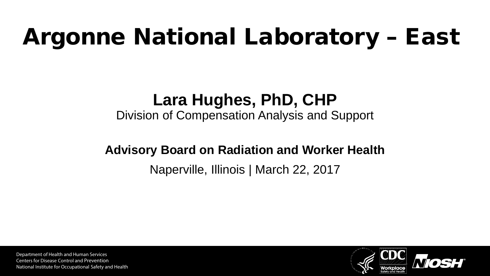#### Argonne National Laboratory – East

#### **Lara Hughes, PhD, CHP**

Division of Compensation Analysis and Support

#### **Advisory Board on Radiation and Worker Health**

#### Naperville, Illinois | March 22, 2017

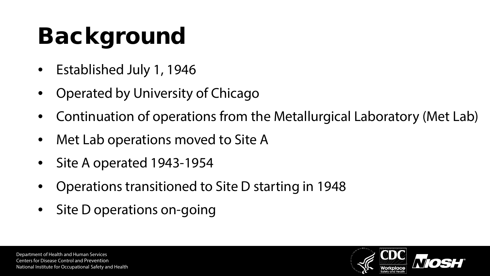# Background

- Established July 1, 1946
- Operated by University of Chicago
- Continuation of operations from the Metallurgical Laboratory (Met Lab)
- Met Lab operations moved to Site A
- Site A operated 1943-1954
- Operations transitioned to Site D starting in 1948
- Site D operations on-going

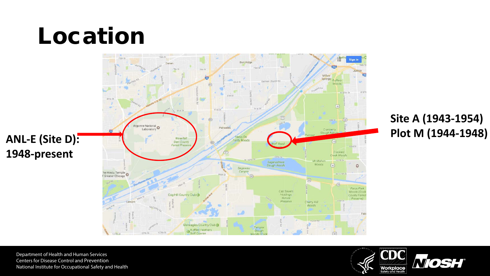#### Location



**Site A (1943-1954)**

Department of Health and Human Services Centers for Disease Control and Prevention National Institute for Occupational Safety and Health

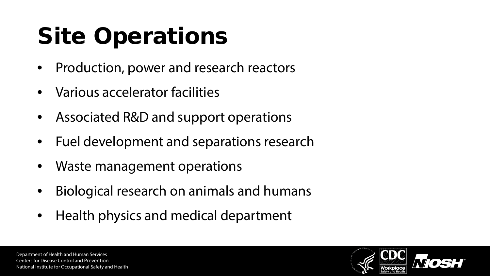# Site Operations

- Production, power and research reactors
- Various accelerator facilities
- Associated R&D and support operations
- Fuel development and separations research
- Waste management operations
- Biological research on animals and humans
- Health physics and medical department

Department of Health and Human Services Centers for Disease Control and Prevention National Institute for Occupational Safety and Health

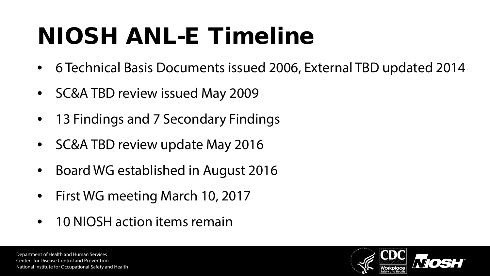### NIOSH ANL-E Timeline

- 6 Technical Basis Documents issued 2006, External TBD updated 2014
- SC&A TBD review issued May 2009
- 13 Findings and 7 Secondary Findings
- SC&A TBD review update May 2016
- Board WG established in August 2016
- First WG meeting March 10, 2017
- 10 NIOSH action items remain

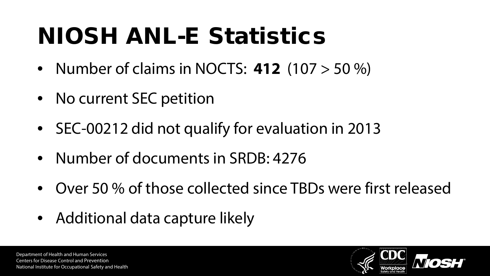#### NIOSH ANL-E Statistics

- Number of claims in NOCTS: **412** (107 > 50 %)
- No current SEC petition
- SEC-00212 did not qualify for evaluation in 2013
- Number of documents in SRDB: 4276
- Over 50 % of those collected since TBDs were first released
- Additional data capture likely

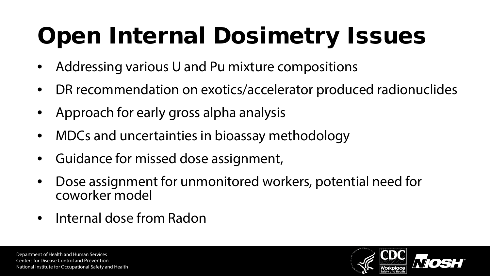# Open Internal Dosimetry Issues

- Addressing various U and Pu mixture compositions
- DR recommendation on exotics/accelerator produced radionuclides
- Approach for early gross alpha analysis
- MDCs and uncertainties in bioassay methodology
- Guidance for missed dose assignment,
- Dose assignment for unmonitored workers, potential need for coworker model
- Internal dose from Radon

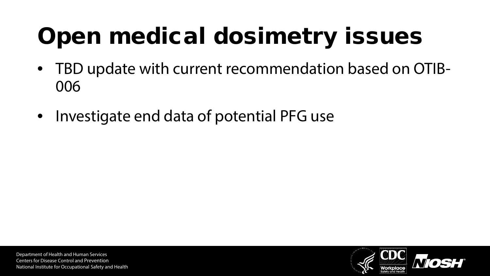# Open medical dosimetry issues

- TBD update with current recommendation based on OTIB-006
- Investigate end data of potential PFG use

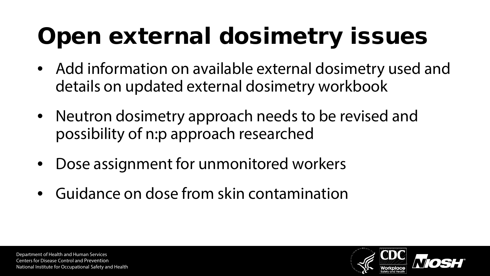# Open external dosimetry issues

- Add information on available external dosimetry used and details on updated external dosimetry workbook
- Neutron dosimetry approach needs to be revised and possibility of n:p approach researched
- Dose assignment for unmonitored workers
- Guidance on dose from skin contamination

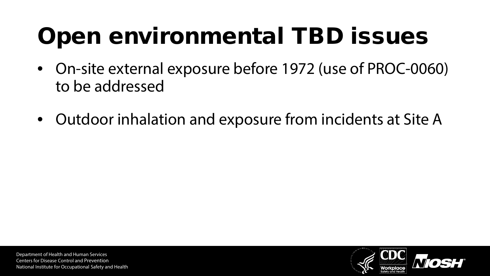### Open environmental TBD issues

- On-site external exposure before 1972 (use of PROC-0060) to be addressed
- Outdoor inhalation and exposure from incidents at Site A

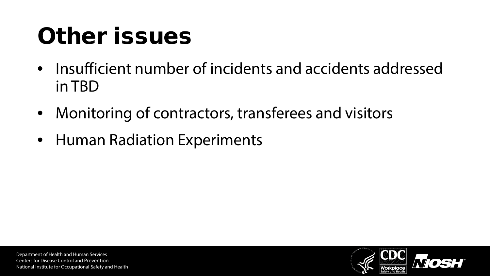#### Other issues

- Insufficient number of incidents and accidents addressed in TBD
- Monitoring of contractors, transferees and visitors
- Human Radiation Experiments